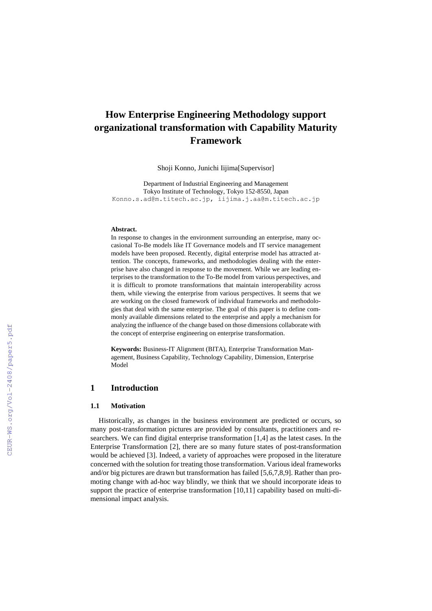# **How Enterprise Engineering Methodology support organizational transformation with Capability Maturity Framework**

Shoji Konno, Junichi Iijima[Supervisor]

Department of Industrial Engineering and Management Tokyo Institute of Technology, Tokyo 152-8550, Japan [Konno.s.ad@m.titech.ac.jp,](mailto:Konno.s.ad@m.titech.ac.jp) iijima.j.aa@m.titech.ac.jp

#### **Abstract.**

In response to changes in the environment surrounding an enterprise, many occasional To-Be models like IT Governance models and IT service management models have been proposed. Recently, digital enterprise model has attracted attention. The concepts, frameworks, and methodologies dealing with the enterprise have also changed in response to the movement. While we are leading enterprises to the transformation to the To-Be model from various perspectives, and it is difficult to promote transformations that maintain interoperability across them, while viewing the enterprise from various perspectives. It seems that we are working on the closed framework of individual frameworks and methodologies that deal with the same enterprise. The goal of this paper is to define commonly available dimensions related to the enterprise and apply a mechanism for analyzing the influence of the change based on those dimensions collaborate with the concept of enterprise engineering on enterprise transformation.

**Keywords:** Business-IT Alignment (BITA), Enterprise Transformation Management, Business Capability, Technology Capability, Dimension, Enterprise Model

# **1 Introduction**

#### **1.1 Motivation**

Historically, as changes in the business environment are predicted or occurs, so many post-transformation pictures are provided by consultants, practitioners and researchers. We can find digital enterprise transformation [1,4] as the latest cases. In the Enterprise Transformation [2], there are so many future states of post-transformation would be achieved [3]. Indeed, a variety of approaches were proposed in the literature concerned with the solution for treating those transformation. Various ideal frameworks and/or big pictures are drawn but transformation has failed [5,6,7,8,9]. Rather than promoting change with ad-hoc way blindly, we think that we should incorporate ideas to support the practice of enterprise transformation [10,11] capability based on multi-dimensional impact analysis.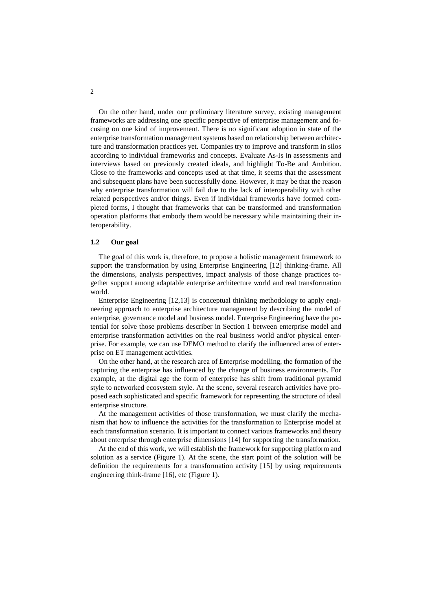On the other hand, under our preliminary literature survey, existing management frameworks are addressing one specific perspective of enterprise management and focusing on one kind of improvement. There is no significant adoption in state of the enterprise transformation management systems based on relationship between architecture and transformation practices yet. Companies try to improve and transform in silos according to individual frameworks and concepts. Evaluate As-Is in assessments and interviews based on previously created ideals, and highlight To-Be and Ambition. Close to the frameworks and concepts used at that time, it seems that the assessment and subsequent plans have been successfully done. However, it may be that the reason why enterprise transformation will fail due to the lack of interoperability with other related perspectives and/or things. Even if individual frameworks have formed completed forms, I thought that frameworks that can be transformed and transformation operation platforms that embody them would be necessary while maintaining their interoperability.

### **1.2 Our goal**

The goal of this work is, therefore, to propose a holistic management framework to support the transformation by using Enterprise Engineering [12] thinking-frame. All the dimensions, analysis perspectives, impact analysis of those change practices together support among adaptable enterprise architecture world and real transformation world.

Enterprise Engineering [12,13] is conceptual thinking methodology to apply engineering approach to enterprise architecture management by describing the model of enterprise, governance model and business model. Enterprise Engineering have the potential for solve those problems describer in Section 1 between enterprise model and enterprise transformation activities on the real business world and/or physical enterprise. For example, we can use DEMO method to clarify the influenced area of enterprise on ET management activities.

On the other hand, at the research area of Enterprise modelling, the formation of the capturing the enterprise has influenced by the change of business environments. For example, at the digital age the form of enterprise has shift from traditional pyramid style to networked ecosystem style. At the scene, several research activities have proposed each sophisticated and specific framework for representing the structure of ideal enterprise structure.

At the management activities of those transformation, we must clarify the mechanism that how to influence the activities for the transformation to Enterprise model at each transformation scenario. It is important to connect various frameworks and theory about enterprise through enterprise dimensions [14] for supporting the transformation.

At the end of this work, we will establish the framework for supporting platform and solution as a service (Figure 1). At the scene, the start point of the solution will be definition the requirements for a transformation activity [15] by using requirements engineering think-frame [16], etc (Figure 1).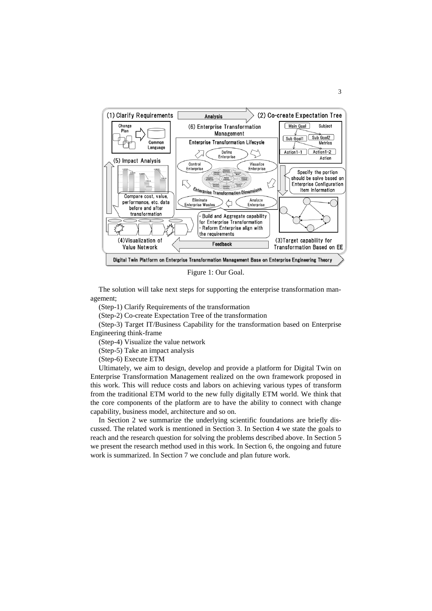

Figure 1: Our Goal.

The solution will take next steps for supporting the enterprise transformation management;

(Step-1) Clarify Requirements of the transformation

(Step-2) Co-create Expectation Tree of the transformation

(Step-3) Target IT/Business Capability for the transformation based on Enterprise Engineering think-frame

(Step-4) Visualize the value network

(Step-5) Take an impact analysis

(Step-6) Execute ETM

Ultimately, we aim to design, develop and provide a platform for Digital Twin on Enterprise Transformation Management realized on the own framework proposed in this work. This will reduce costs and labors on achieving various types of transform from the traditional ETM world to the new fully digitally ETM world. We think that the core components of the platform are to have the ability to connect with change capability, business model, architecture and so on.

In Section 2 we summarize the underlying scientific foundations are briefly discussed. The related work is mentioned in Section 3. In Section 4 we state the goals to reach and the research question for solving the problems described above. In Section 5 we present the research method used in this work. In Section 6, the ongoing and future work is summarized. In Section 7 we conclude and plan future work.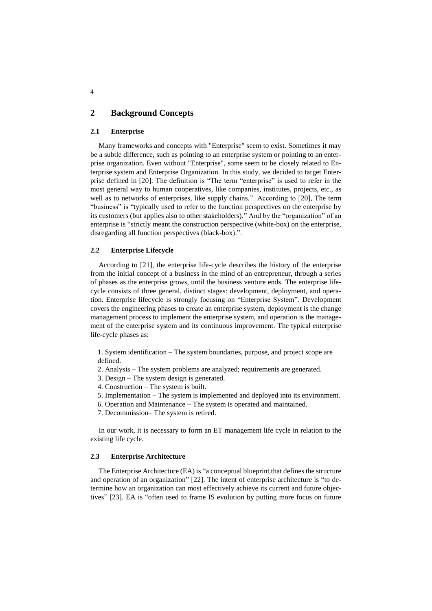# **2 Background Concepts**

### **2.1 Enterprise**

Many frameworks and concepts with "Enterprise" seem to exist. Sometimes it may be a subtle difference, such as pointing to an enterprise system or pointing to an enterprise organization. Even without "Enterprise", some seem to be closely related to Enterprise system and Enterprise Organization. In this study, we decided to target Enterprise defined in [20]. The definition is "The term "enterprise" is used to refer in the most general way to human cooperatives, like companies, institutes, projects, etc., as well as to networks of enterprises, like supply chains.". According to [20], The term "business" is "typically used to refer to the function perspectives on the enterprise by its customers (but applies also to other stakeholders)." And by the "organization" of an enterprise is "strictly meant the construction perspective (white-box) on the enterprise, disregarding all function perspectives (black-box).".

### **2.2 Enterprise Lifecycle**

According to [21], the enterprise life-cycle describes the history of the enterprise from the initial concept of a business in the mind of an entrepreneur, through a series of phases as the enterprise grows, until the business venture ends. The enterprise lifecycle consists of three general, distinct stages: development, deployment, and operation. Enterprise lifecycle is strongly focusing on "Enterprise System". Development covers the engineering phases to create an enterprise system, deployment is the change management process to implement the enterprise system, and operation is the management of the enterprise system and its continuous improvement. The typical enterprise life-cycle phases as:

1. System identification – The system boundaries, purpose, and project scope are defined.

- 2. Analysis The system problems are analyzed; requirements are generated.
- 3. Design The system design is generated.
- 4. Construction The system is built.
- 5. Implementation The system is implemented and deployed into its environment.
- 6. Operation and Maintenance The system is operated and maintained.
- 7. Decommission– The system is retired.

In our work, it is necessary to form an ET management life cycle in relation to the existing life cycle.

### **2.3 Enterprise Architecture**

The Enterprise Architecture (EA) is "a conceptual blueprint that defines the structure and operation of an organization" [22]. The intent of enterprise architecture is "to determine how an organization can most effectively achieve its current and future objectives" [23]. EA is "often used to frame IS evolution by putting more focus on future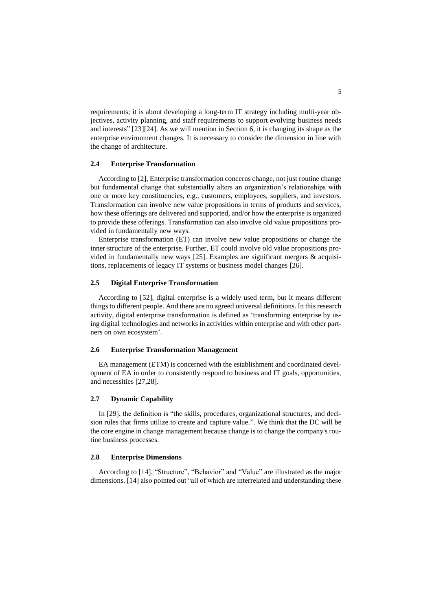requirements; it is about developing a long-term IT strategy including multi-year objectives, activity planning, and staff requirements to support evolving business needs and interests" [23][24]. As we will mention in Section 6, it is changing its shape as the enterprise environment changes. It is necessary to consider the dimension in line with the change of architecture.

#### **2.4 Enterprise Transformation**

According to [2], Enterprise transformation concerns change, not just routine change but fundamental change that substantially alters an organization's relationships with one or more key constituencies, e.g., customers, employees, suppliers, and investors. Transformation can involve new value propositions in terms of products and services, how these offerings are delivered and supported, and/or how the enterprise is organized to provide these offerings. Transformation can also involve old value propositions provided in fundamentally new ways.

Enterprise transformation (ET) can involve new value propositions or change the inner structure of the enterprise. Further, ET could involve old value propositions provided in fundamentally new ways [25]. Examples are significant mergers & acquisitions, replacements of legacy IT systems or business model changes [26].

### **2.5 Digital Enterprise Transformation**

According to [52], digital enterprise is a widely used term, but it means different things to different people. And there are no agreed universal definitions. In this research activity, digital enterprise transformation is defined as 'transforming enterprise by using digital technologies and networks in activities within enterprise and with other partners on own ecosystem'.

#### **2.6 Enterprise Transformation Management**

EA management (ETM) is concerned with the establishment and coordinated development of EA in order to consistently respond to business and IT goals, opportunities, and necessities [27,28].

### **2.7 Dynamic Capability**

In [29], the definition is "the skills, procedures, organizational structures, and decision rules that firms utilize to create and capture value.". We think that the DC will be the core engine in change management because change is to change the company's routine business processes.

#### **2.8 Enterprise Dimensions**

According to [14], "Structure", "Behavior" and "Value" are illustrated as the major dimensions. [14] also pointed out "all of which are interrelated and understanding these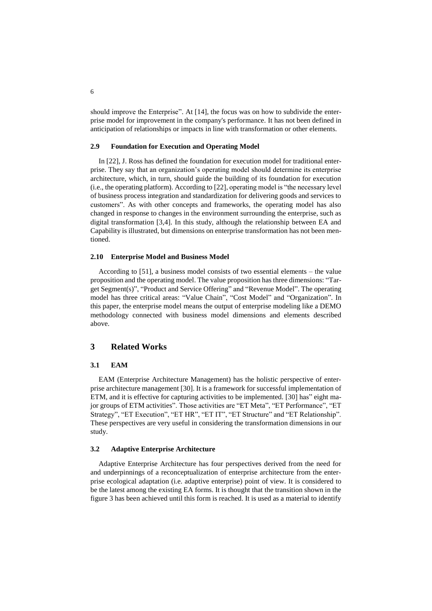should improve the Enterprise". At [14], the focus was on how to subdivide the enterprise model for improvement in the company's performance. It has not been defined in anticipation of relationships or impacts in line with transformation or other elements.

### **2.9 Foundation for Execution and Operating Model**

In [22], J. Ross has defined the foundation for execution model for traditional enterprise. They say that an organization's operating model should determine its enterprise architecture, which, in turn, should guide the building of its foundation for execution (i.e., the operating platform). According to [22], operating model is "the necessary level of business process integration and standardization for delivering goods and services to customers". As with other concepts and frameworks, the operating model has also changed in response to changes in the environment surrounding the enterprise, such as digital transformation [3,4]. In this study, although the relationship between EA and Capability is illustrated, but dimensions on enterprise transformation has not been mentioned.

### **2.10 Enterprise Model and Business Model**

According to [51], a business model consists of two essential elements – the value proposition and the operating model. The value proposition has three dimensions: "Target Segment(s)", "Product and Service Offering" and "Revenue Model". The operating model has three critical areas: "Value Chain", "Cost Model" and "Organization". In this paper, the enterprise model means the output of enterprise modeling like a DEMO methodology connected with business model dimensions and elements described above.

# **3 Related Works**

#### **3.1 EAM**

EAM (Enterprise Architecture Management) has the holistic perspective of enterprise architecture management [30]. It is a framework for successful implementation of ETM, and it is effective for capturing activities to be implemented. [30] has" eight major groups of ETM activities". Those activities are "ET Meta", "ET Performance", "ET Strategy", "ET Execution", "ET HR", "ET IT", "ET Structure" and "ET Relationship". These perspectives are very useful in considering the transformation dimensions in our study.

### **3.2 Adaptive Enterprise Architecture**

Adaptive Enterprise Architecture has four perspectives derived from the need for and underpinnings of a reconceptualization of enterprise architecture from the enterprise ecological adaptation (i.e. adaptive enterprise) point of view. It is considered to be the latest among the existing EA forms. It is thought that the transition shown in the figure 3 has been achieved until this form is reached. It is used as a material to identify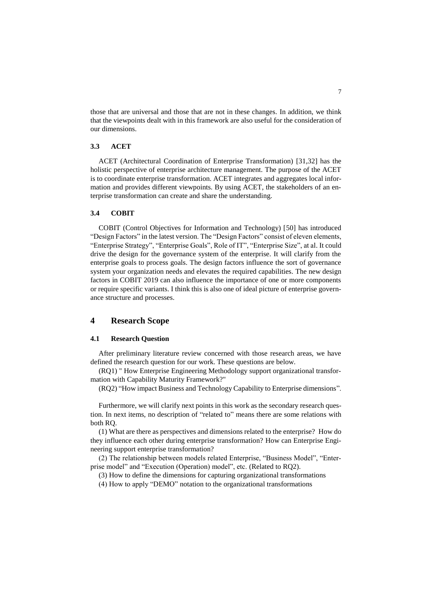those that are universal and those that are not in these changes. In addition, we think that the viewpoints dealt with in this framework are also useful for the consideration of our dimensions.

### **3.3 ACET**

ACET (Architectural Coordination of Enterprise Transformation) [31,32] has the holistic perspective of enterprise architecture management. The purpose of the ACET is to coordinate enterprise transformation. ACET integrates and aggregates local information and provides different viewpoints. By using ACET, the stakeholders of an enterprise transformation can create and share the understanding.

#### **3.4 COBIT**

COBIT (Control Objectives for Information and Technology) [50] has introduced "Design Factors" in the latest version. The "Design Factors" consist of eleven elements, "Enterprise Strategy", "Enterprise Goals", Role of IT", "Enterprise Size", at al. It could drive the design for the governance system of the enterprise. It will clarify from the enterprise goals to process goals. The design factors influence the sort of governance system your organization needs and elevates the required capabilities. The new design factors in COBIT 2019 can also influence the importance of one or more components or require specific variants. I think this is also one of ideal picture of enterprise governance structure and processes.

# **4 Research Scope**

# **4.1 Research Question**

After preliminary literature review concerned with those research areas, we have defined the research question for our work. These questions are below.

(RQ1) " How Enterprise Engineering Methodology support organizational transformation with Capability Maturity Framework?"

(RQ2) "How impact Business and Technology Capability to Enterprise dimensions".

Furthermore, we will clarify next points in this work as the secondary research question. In next items, no description of "related to" means there are some relations with both RQ.

(1) What are there as perspectives and dimensions related to the enterprise? How do they influence each other during enterprise transformation? How can Enterprise Engineering support enterprise transformation?

(2) The relationship between models related Enterprise, "Business Model", "Enterprise model" and "Execution (Operation) model", etc. (Related to RQ2).

(3) How to define the dimensions for capturing organizational transformations

(4) How to apply "DEMO" notation to the organizational transformations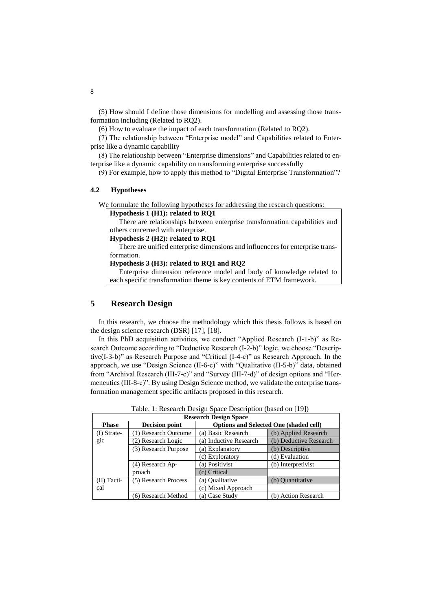(5) How should I define those dimensions for modelling and assessing those transformation including (Related to RQ2).

(6) How to evaluate the impact of each transformation (Related to RQ2).

(7) The relationship between "Enterprise model" and Capabilities related to Enterprise like a dynamic capability

(8) The relationship between "Enterprise dimensions" and Capabilities related to enterprise like a dynamic capability on transforming enterprise successfully

(9) For example, how to apply this method to "Digital Enterprise Transformation"?

### **4.2 Hypotheses**

We formulate the following hypotheses for addressing the research questions:

**Hypothesis 1 (H1): related to RQ1**

There are relationships between enterprise transformation capabilities and others concerned with enterprise.

### **Hypothesis 2 (H2): related to RQ1**

There are unified enterprise dimensions and influencers for enterprise transformation.

#### **Hypothesis 3 (H3): related to RQ1 and RQ2**

 Enterprise dimension reference model and body of knowledge related to each specific transformation theme is key contents of ETM framework.

# **5 Research Design**

In this research, we choose the methodology which this thesis follows is based on the design science research (DSR) [17], [18].

In this PhD acquisition activities, we conduct "Applied Research (I-1-b)" as Research Outcome according to "Deductive Research (I-2-b)" logic, we choose "Descriptive(I-3-b)" as Research Purpose and "Critical (I-4-c)" as Research Approach. In the approach, we use "Design Science (II-6-c)" with "Qualitative (II-5-b)" data, obtained from "Archival Research (III-7-c)" and "Survey (III-7-d)" of design options and "Hermeneutics (III-8-c)". By using Design Science method, we validate the enterprise transformation management specific artifacts proposed in this research.

|                              |                       |                                               | $\rightarrow$          |  |  |
|------------------------------|-----------------------|-----------------------------------------------|------------------------|--|--|
| <b>Research Design Space</b> |                       |                                               |                        |  |  |
| <b>Phase</b>                 | <b>Decision point</b> | <b>Options and Selected One (shaded cell)</b> |                        |  |  |
| $(I)$ Strate-                | ) Research Outcome    | (a) Basic Research                            | (b) Applied Research   |  |  |
| gic                          | (2) Research Logic    | (a) Inductive Research                        | (b) Deductive Research |  |  |
|                              | (3) Research Purpose  | (a) Explanatory                               | (b) Descriptive        |  |  |
|                              |                       | (c) Exploratory                               | (d) Evaluation         |  |  |
|                              | (4) Research Ap-      | (a) Positivist                                | (b) Interpretivist     |  |  |
|                              | proach                | (c) Critical                                  |                        |  |  |
| $(II)$ Tacti-                | (5) Research Process  | (a) Oualitative                               | (b) Quantitative       |  |  |
| cal                          |                       | (c) Mixed Approach                            |                        |  |  |
|                              | (6) Research Method   | (a) Case Study                                | (b) Action Research    |  |  |

Table. 1: Research Design Space Description (based on [19])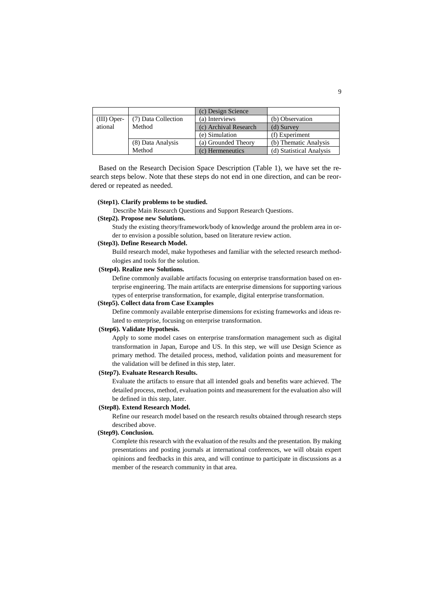|                   |                     | (c) Design Science    |                          |
|-------------------|---------------------|-----------------------|--------------------------|
| $(III)$ Oper-     | (7) Data Collection | (a) Interviews        | (b) Observation          |
| ational<br>Method |                     | (c) Archival Research | (d) Survey               |
|                   |                     | (e) Simulation        | (f) Experiment           |
|                   | (8) Data Analysis   | (a) Grounded Theory   | (b) Thematic Analysis    |
|                   | Method              | (c) Hermeneutics      | (d) Statistical Analysis |

Based on the Research Decision Space Description (Table 1), we have set the research steps below. Note that these steps do not end in one direction, and can be reordered or repeated as needed.

#### **(Step1). Clarify problems to be studied.**

Describe Main Research Questions and Support Research Questions.

### **(Step2). Propose new Solutions.**

Study the existing theory/framework/body of knowledge around the problem area in order to envision a possible solution, based on literature review action.

### **(Step3). Define Research Model.**

Build research model, make hypotheses and familiar with the selected research methodologies and tools for the solution.

#### **(Step4). Realize new Solutions.**

Define commonly available artifacts focusing on enterprise transformation based on enterprise engineering. The main artifacts are enterprise dimensions for supporting various types of enterprise transformation, for example, digital enterprise transformation.

#### **(Step5). Collect data from Case Examples**

Define commonly available enterprise dimensions for existing frameworks and ideas related to enterprise, focusing on enterprise transformation.

#### **(Step6). Validate Hypothesis.**

Apply to some model cases on enterprise transformation management such as digital transformation in Japan, Europe and US. In this step, we will use Design Science as primary method. The detailed process, method, validation points and measurement for the validation will be defined in this step, later.

#### **(Step7). Evaluate Research Results.**

Evaluate the artifacts to ensure that all intended goals and benefits ware achieved. The detailed process, method, evaluation points and measurement for the evaluation also will be defined in this step, later.

#### **(Step8). Extend Research Model.**

Refine our research model based on the research results obtained through research steps described above.

### **(Step9). Conclusion.**

Complete this research with the evaluation of the results and the presentation. By making presentations and posting journals at international conferences, we will obtain expert opinions and feedbacks in this area, and will continue to participate in discussions as a member of the research community in that area.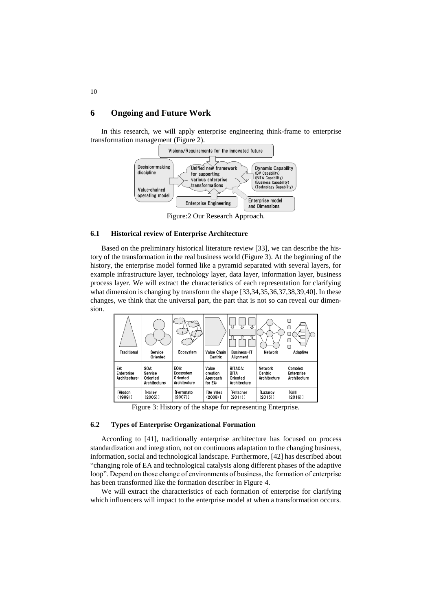# **6 Ongoing and Future Work**

In this research, we will apply enterprise engineering think-frame to enterprise transformation management (Figure 2).



Figure:2 Our Research Approach.

### **6.1 Historical review of Enterprise Architecture**

Based on the preliminary historical literature review [33], we can describe the history of the transformation in the real business world (Figure 3). At the beginning of the history, the enterprise model formed like a pyramid separated with several layers, for example infrastructure layer, technology layer, data layer, information layer, business process layer. We will extract the characteristics of each representation for clarifying what dimension is changing by transform the shape [33,34,35,36,37,38,39,40]. In these changes, we think that the universal part, the part that is not so can reveal our dimension.

| Traditional                        | Service<br>Oriented                          | Ecosystem                                     | Value Chain<br>Centric                   | <b>Business-IT</b><br>Alignment                           | <b>Network</b>                     | □<br>u<br>С<br>Adaptive               |
|------------------------------------|----------------------------------------------|-----------------------------------------------|------------------------------------------|-----------------------------------------------------------|------------------------------------|---------------------------------------|
| EA:<br>Enterprise<br>Architecture: | SOA:<br>Service<br>Oriented<br>Architecture: | EOA:<br>Ecosystem<br>Oriented<br>Architecture | Value<br>creation<br>Approach<br>for EA: | <b>BITAOA:</b><br><b>BITA</b><br>Oriented<br>Architecture | Network<br>Centric<br>Architecture | Complex<br>Enterprise<br>Architecture |
| [Rigdon<br>$(1989)$ ]              | [Halley<br>(2005)]                           | [Ferronato<br>$(2007)$ ]                      | <b>De Vries</b><br>$(2008)$ ]            | <b>Fritscher</b><br>(2011)]                               | <b>Lazarov</b><br>(2015)]          | [Gilll<br>$(2016)$ ]                  |

Figure 3: History of the shape for representing Enterprise.

### **6.2 Types of Enterprise Organizational Formation**

According to [41], traditionally enterprise architecture has focused on process standardization and integration, not on continuous adaptation to the changing business, information, social and technological landscape. Furthermore, [42] has described about "changing role of EA and technological catalysis along different phases of the adaptive loop". Depend on those change of environments of business, the formation of enterprise has been transformed like the formation describer in Figure 4.

We will extract the characteristics of each formation of enterprise for clarifying which influencers will impact to the enterprise model at when a transformation occurs.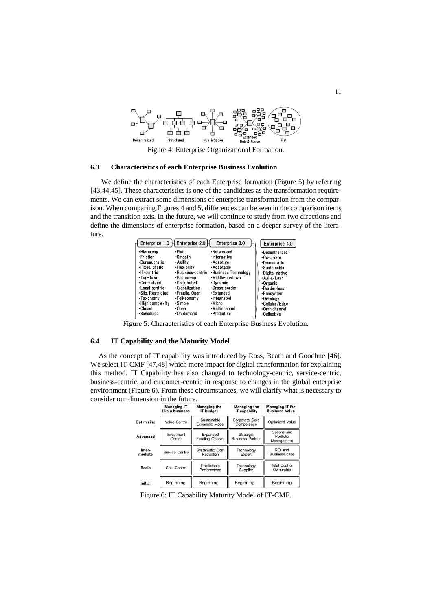

Figure 4: Enterprise Organizational Formation.

### **6.3 Characteristics of each Enterprise Business Evolution**

We define the characteristics of each Enterprise formation (Figure 5) by referring [43,44,45]. These characteristics is one of the candidates as the transformation requirements. We can extract some dimensions of enterprise transformation from the comparison. When comparing Figures 4 and 5, differences can be seen in the comparison items and the transition axis. In the future, we will continue to study from two directions and define the dimensions of enterprise formation, based on a deeper survey of the literature.

| Enterprise 1.0                                                                                                                                                                                              | Enterprise 2.0                                                                                                                                                                         | Enterprise 3.0                                                                                                                                                                                        | Enterprise 4.0                                                                                                                                                                                         |
|-------------------------------------------------------------------------------------------------------------------------------------------------------------------------------------------------------------|----------------------------------------------------------------------------------------------------------------------------------------------------------------------------------------|-------------------------------------------------------------------------------------------------------------------------------------------------------------------------------------------------------|--------------------------------------------------------------------------------------------------------------------------------------------------------------------------------------------------------|
| • Hierarchy<br>-Friction<br>•Bureaucratic<br>-Fixed. Static<br>·IT-centric<br>- Top-down<br>• Centralized<br>·Local-centric<br>-Silo. Restricted<br>•Taxonomv<br>·High complexity<br>•Closed<br>- Scheduled | •Flat<br>•Smooth<br>• Agility<br>•Flexibility<br>·Business-centric<br>-Bottom-up<br>•Distributed<br>· Globalization<br>•Fragile, Open<br>•Folksonomv<br>• Simple<br>•Open<br>On demand | -Networked<br>•Interactive<br>• Adaptive<br>• Adaptable<br>•Business Technology<br>-Middle-up-down<br>•Dvnamic<br>•Cross-border<br>•Extended<br>•Integrated<br>•Micro<br>•Multichannel<br>-Predictive | •Decentralized<br>-Co-create<br>•Democratic<br>·Sustainable<br>-Digital native<br>• Agile/Lean<br>-Organic<br>-Border-less<br>-Ecosystem<br>-Ontology<br>•Cellular/Edge<br>-Omnichannel<br>•Collective |
|                                                                                                                                                                                                             |                                                                                                                                                                                        |                                                                                                                                                                                                       |                                                                                                                                                                                                        |

Figure 5: Characteristics of each Enterprise Business Evolution.

### **6.4 IT Capability and the Maturity Model**

As the concept of IT capability was introduced by Ross, Beath and Goodhue [46]. We select IT-CMF [47,48] which more impact for digital transformation for explaining this method. IT Capability has also changed to technology-centric, service-centric, business-centric, and customer-centric in response to changes in the global enterprise environment (Figure 6). From these circumstances, we will clarify what is necessary to consider our dimension in the future.

|                   | <b>Managing IT</b><br>like a business | <b>Managing the</b><br><b>IT budget</b> | <b>Managing the</b><br><b>IT capability</b> | <b>Managing IT for</b><br><b>Business Value</b> |
|-------------------|---------------------------------------|-----------------------------------------|---------------------------------------------|-------------------------------------------------|
| Optimizing        | Value Centre                          | Sustainable<br>Economic Model           | Corporate Core<br>Competency                | <b>Optimized Value</b>                          |
| Advanced          | Investment<br>Centre                  | Expanded<br><b>Funding Options</b>      | Strategic<br><b>Business Partner</b>        | Options and<br>Portfolio<br>Management          |
| Inter-<br>mediate | Service Centre                        | <b>Systematic Cost</b><br>Reduction     | Technology<br>Expert                        | ROI and<br><b>Business case</b>                 |
| <b>Basic</b>      | Cost Centre                           | Predictable<br>Performance              | Technology<br>Supplier                      | Total Cost of<br>Ownership                      |
| Initial           | Beginning                             | Beginning                               | Beginning                                   | Beginning                                       |

Figure 6: IT Capability Maturity Model of IT-CMF.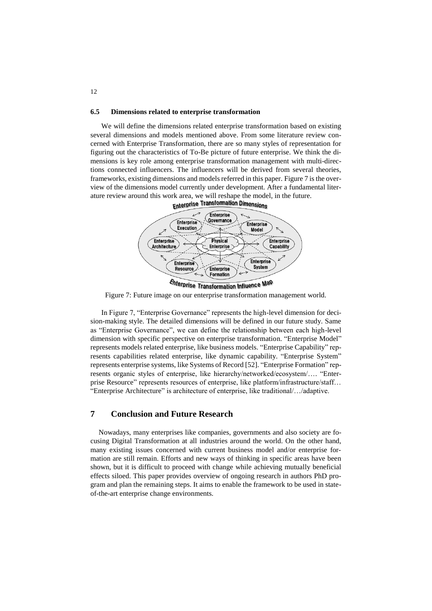#### **6.5 Dimensions related to enterprise transformation**

We will define the dimensions related enterprise transformation based on existing several dimensions and models mentioned above. From some literature review concerned with Enterprise Transformation, there are so many styles of representation for figuring out the characteristics of To-Be picture of future enterprise. We think the dimensions is key role among enterprise transformation management with multi-directions connected influencers. The influencers will be derived from several theories, frameworks, existing dimensions and models referred in this paper. Figure 7 is the overview of the dimensions model currently under development. After a fundamental literature review around this work area, we will reshape the model, in the future.<br> **Example 17 ansigmation Dimensions** 



*Enterprise Transformation Influence Map* 

Figure 7: Future image on our enterprise transformation management world.

In Figure 7, "Enterprise Governance" represents the high-level dimension for decision-making style. The detailed dimensions will be defined in our future study. Same as "Enterprise Governance", we can define the relationship between each high-level dimension with specific perspective on enterprise transformation. "Enterprise Model" represents models related enterprise, like business models. "Enterprise Capability" represents capabilities related enterprise, like dynamic capability. "Enterprise System" represents enterprise systems, like Systems of Record [52]. "Enterprise Formation" represents organic styles of enterprise, like hierarchy/networked/ecosystem/…. "Enterprise Resource" represents resources of enterprise, like platform/infrastructure/staff… "Enterprise Architecture" is architecture of enterprise, like traditional/…/adaptive.

# **7 Conclusion and Future Research**

Nowadays, many enterprises like companies, governments and also society are focusing Digital Transformation at all industries around the world. On the other hand, many existing issues concerned with current business model and/or enterprise formation are still remain. Efforts and new ways of thinking in specific areas have been shown, but it is difficult to proceed with change while achieving mutually beneficial effects siloed. This paper provides overview of ongoing research in authors PhD program and plan the remaining steps. It aims to enable the framework to be used in stateof-the-art enterprise change environments.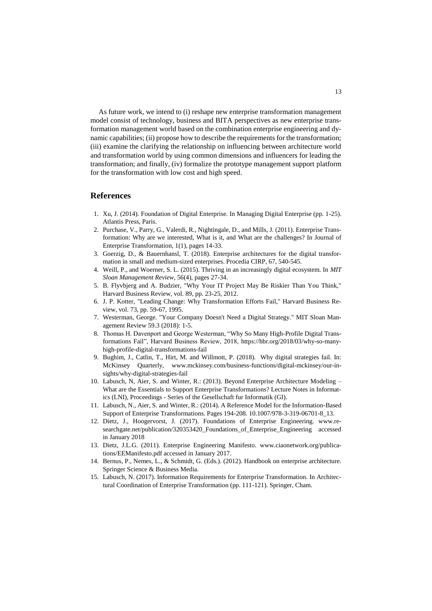As future work, we intend to (i) reshape new enterprise transformation management model consist of technology, business and BITA perspectives as new enterprise transformation management world based on the combination enterprise engineering and dynamic capabilities; (ii) propose how to describe the requirements for the transformation; (iii) examine the clarifying the relationship on influencing between architecture world and transformation world by using common dimensions and influencers for leading the transformation; and finally, (iv) formalize the prototype management support platform for the transformation with low cost and high speed.

# **References**

- 1. Xu, J. (2014). Foundation of Digital Enterprise. In Managing Digital Enterprise (pp. 1-25). Atlantis Press, Paris.
- 2. Purchase, V., Parry, G., Valerdi, R., Nightingale, D., and Mills, J. (2011). Enterprise Transformation: Why are we interested, What is it, and What are the challenges? In Journal of Enterprise Transformation, 1(1), pages 14-33.
- 3. Goerzig, D., & Bauernhansl, T. (2018). Enterprise architectures for the digital transformation in small and medium-sized enterprises. Procedia CIRP, 67, 540-545.
- 4. Weill, P., and Woerner, S. L. (2015). Thriving in an increasingly digital ecosystem. In *MIT Sloan Management Review*, 56(4), pages 27-34.
- 5. B. Flyvbjerg and A. Budzier, "Why Your IT Project May Be Riskier Than You Think," Harvard Business Review, vol. 89, pp. 23-25, 2012.
- 6. J. P. Kotter, "Leading Change: Why Transformation Efforts Fail," Harvard Business Review, vol. 73, pp. 59-67, 1995.
- 7. Westerman, George. "Your Company Doesn't Need a Digital Strategy." MIT Sloan Management Review 59.3 (2018): 1-5.
- 8. Thomas H. Davenport and George Westerman, "Why So Many High-Profile Digital Transformations Fail", Harvard Business Review, 2018, https://hbr.org/2018/03/why-so-manyhigh-profile-digital-transformations-fail
- 9. Bughim, J., Catlin, T., Hirt, M. and Willmott, P. (2018). Why digital strategies fail. In: McKinsey Quarterly, [www.mckinsey.com/business-functions/digital-mckinsey/our-in](http://www.mckinsey.com/business-functions/digital-mckinsey/our-insights/why-digital-strategies-fail)[sights/why-digital-strategies-fail](http://www.mckinsey.com/business-functions/digital-mckinsey/our-insights/why-digital-strategies-fail)
- 10. Labusch, N, Aier, S. and Winter, R.: (2013). Beyond Enterprise Architecture Modeling What are the Essentials to Support Enterprise Transformations? Lecture Notes in Informatics (LNI), Proceedings - Series of the Gesellschaft fur Informatik (GI).
- 11. Labusch, N., Aier, S. and Winter, R.: (2014). A Reference Model for the Information-Based Support of Enterprise Transformations. Pages 194-208. 10.1007/978-3-319-06701-8\_13.
- 12. Dietz, J., Hoogervorst, J. (2017). Foundations of Enterprise Engineering. [www.re](http://www.researchgate.net/publication/320353420_Foundations_of_Enterprise_Engineering%20accessed%20in%20January%202018)[searchgate.net/publication/320353420\\_Foundations\\_of\\_Enterprise\\_Engineering accessed](http://www.researchgate.net/publication/320353420_Foundations_of_Enterprise_Engineering%20accessed%20in%20January%202018)  [in January 2018](http://www.researchgate.net/publication/320353420_Foundations_of_Enterprise_Engineering%20accessed%20in%20January%202018)
- 13. Dietz, J.L.G. (2011). Enterprise Engineering Manifesto. [www.ciaonetwork.org/publica](http://www.ciaonetwork.org/publications/EEManifesto.pdf%20accessed%20in%20January%202017)[tions/EEManifesto.pdf accessed in January 2017.](http://www.ciaonetwork.org/publications/EEManifesto.pdf%20accessed%20in%20January%202017)
- 14. Bernus, P., Nemes, L., & Schmidt, G. (Eds.). (2012). Handbook on enterprise architecture. Springer Science & Business Media.
- 15. Labusch, N. (2017). Information Requirements for Enterprise Transformation. In Architectural Coordination of Enterprise Transformation (pp. 111-121). Springer, Cham.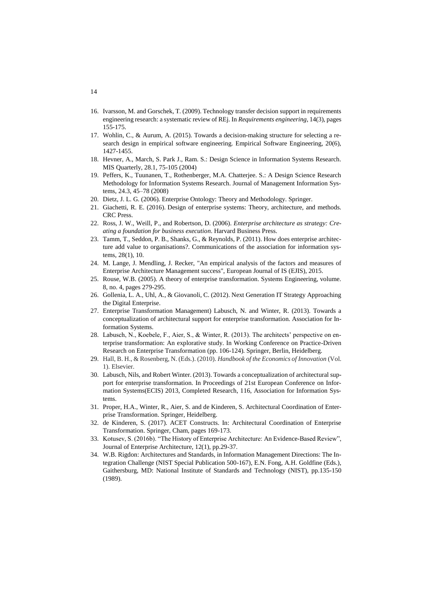- 16. Ivarsson, M. and Gorschek, T. (2009). Technology transfer decision support in requirements engineering research: a systematic review of REj. In *Requirements engineering*, 14(3), pages 155-175.
- 17. Wohlin, C., & Aurum, A. (2015). Towards a decision-making structure for selecting a research design in empirical software engineering. Empirical Software Engineering, 20(6), 1427-1455.
- 18. Hevner, A., March, S. Park J., Ram. S.: Design Science in Information Systems Research. MIS Quarterly, 28.1, 75-105 (2004)
- 19. Peffers, K., Tuunanen, T., Rothenberger, M.A. Chatterjee. S.: A Design Science Research Methodology for Information Systems Research. Journal of Management Information Systems, 24.3, 45–78 (2008)
- 20. Dietz, J. L. G. (2006). Enterprise Ontology: Theory and Methodology. Springer.
- 21. Giachetti, R. E. (2016). Design of enterprise systems: Theory, architecture, and methods. CRC Press.
- 22. Ross, J. W., Weill, P., and Robertson, D. (2006). *Enterprise architecture as strategy: Creating a foundation for business execution*. Harvard Business Press.
- 23. Tamm, T., Seddon, P. B., Shanks, G., & Reynolds, P. (2011). How does enterprise architecture add value to organisations?. Communications of the association for information systems, 28(1), 10.
- 24. M. Lange, J. Mendling, J. Recker, "An empirical analysis of the factors and measures of Enterprise Architecture Management success", European Journal of IS (EJIS), 2015.
- 25. Rouse, W.B. (2005). A theory of enterprise transformation. Systems Engineering, volume. 8, no. 4, pages 279-295.
- 26. Gollenia, L. A., Uhl, A., & Giovanoli, C. (2012). Next Generation IT Strategy Approaching the Digital Enterprise.
- 27. Enterprise Transformation Management) Labusch, N. and Winter, R. (2013). Towards a conceptualization of architectural support for enterprise transformation. Association for Information Systems.
- 28. Labusch, N., Koebele, F., Aier, S., & Winter, R. (2013). The architects' perspective on enterprise transformation: An explorative study. In Working Conference on Practice-Driven Research on Enterprise Transformation (pp. 106-124). Springer, Berlin, Heidelberg.
- 29. Hall, B. H., & Rosenberg, N. (Eds.). (2010). *Handbook of the Economics of Innovation* (Vol. 1). Elsevier.
- 30. Labusch, Nils, and Robert Winter. (2013). Towards a conceptualization of architectural support for enterprise transformation. In Proceedings of 21st European Conference on Information Systems(ECIS) 2013, Completed Research, 116, Association for Information Systems.
- 31. Proper, H.A., Winter, R., Aier, S. and de Kinderen, S. Architectural Coordination of Enterprise Transformation. Springer, Heidelberg.
- 32. de Kinderen, S. (2017). ACET Constructs. In: Architectural Coordination of Enterprise Transformation. Springer, Cham, pages 169-173.
- 33. Kotusev, S. (2016b). "The History of Enterprise Architecture: An Evidence-Based Review", Journal of Enterprise Architecture, 12(1), pp.29-37.
- 34. W.B. Rigdon: Architectures and Standards, in Information Management Directions: The Integration Challenge (NIST Special Publication 500-167), E.N. Fong, A.H. Goldfine (Eds.), Gaithersburg, MD: National Institute of Standards and Technology (NIST), pp.135-150 (1989).